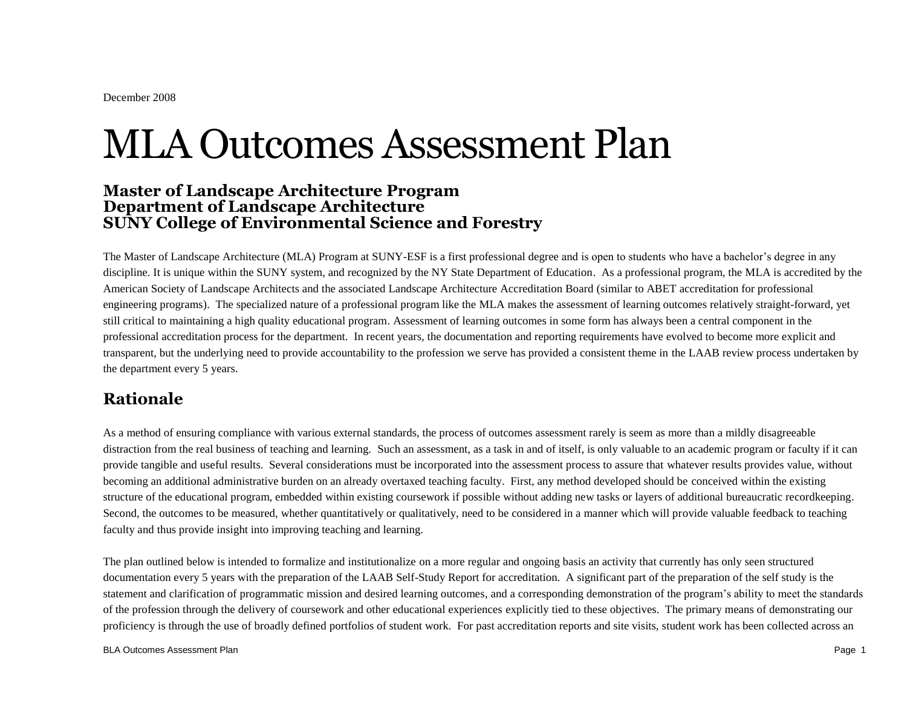# MLA Outcomes Assessment Plan

## **Master of Landscape Architecture Program Department of Landscape Architecture SUNY College of Environmental Science and Forestry**

The Master of Landscape Architecture (MLA) Program at SUNY-ESF is a first professional degree and is open to students who have a bachelor's degree in any discipline. It is unique within the SUNY system, and recognized by the NY State Department of Education. As a professional program, the MLA is accredited by the American Society of Landscape Architects and the associated Landscape Architecture Accreditation Board (similar to ABET accreditation for professional engineering programs). The specialized nature of a professional program like the MLA makes the assessment of learning outcomes relatively straight-forward, yet still critical to maintaining a high quality educational program. Assessment of learning outcomes in some form has always been a central component in the professional accreditation process for the department. In recent years, the documentation and reporting requirements have evolved to become more explicit and transparent, but the underlying need to provide accountability to the profession we serve has provided a consistent theme in the LAAB review process undertaken by the department every 5 years.

# **Rationale**

As a method of ensuring compliance with various external standards, the process of outcomes assessment rarely is seem as more than a mildly disagreeable distraction from the real business of teaching and learning. Such an assessment, as a task in and of itself, is only valuable to an academic program or faculty if it can provide tangible and useful results. Several considerations must be incorporated into the assessment process to assure that whatever results provides value, without becoming an additional administrative burden on an already overtaxed teaching faculty. First, any method developed should be conceived within the existing structure of the educational program, embedded within existing coursework if possible without adding new tasks or layers of additional bureaucratic recordkeeping. Second, the outcomes to be measured, whether quantitatively or qualitatively, need to be considered in a manner which will provide valuable feedback to teaching faculty and thus provide insight into improving teaching and learning.

The plan outlined below is intended to formalize and institutionalize on a more regular and ongoing basis an activity that currently has only seen structured documentation every 5 years with the preparation of the LAAB Self-Study Report for accreditation. A significant part of the preparation of the self study is the statement and clarification of programmatic mission and desired learning outcomes, and a corresponding demonstration of the program's ability to meet the standards of the profession through the delivery of coursework and other educational experiences explicitly tied to these objectives. The primary means of demonstrating our proficiency is through the use of broadly defined portfolios of student work. For past accreditation reports and site visits, student work has been collected across an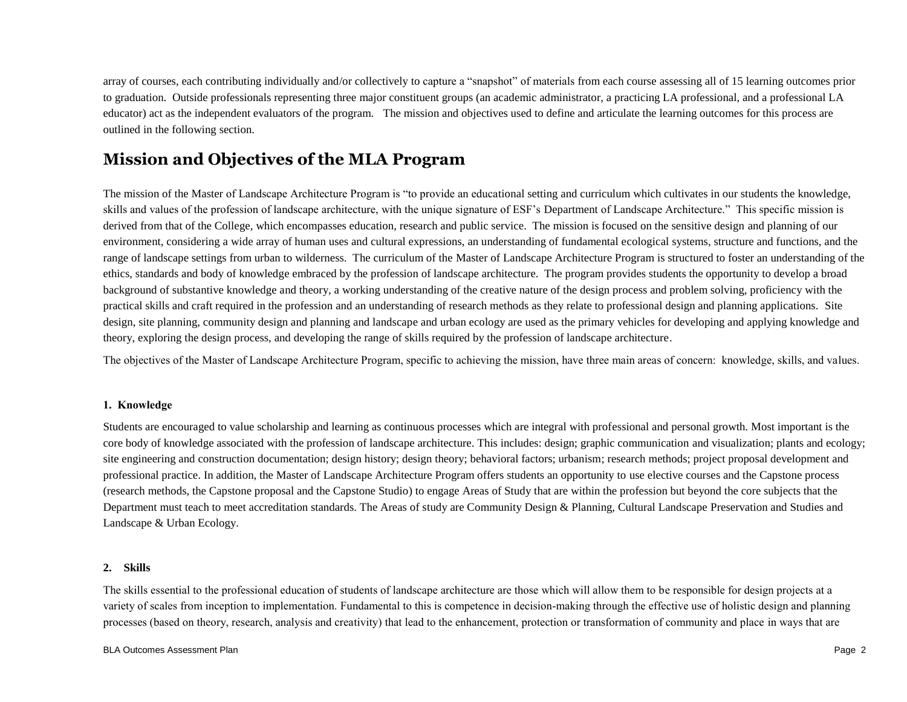array of courses, each contributing individually and/or collectively to capture a "snapshot" of materials from each course assessing all of 15 learning outcomes prior to graduation. Outside professionals representing three major constituent groups (an academic administrator, a practicing LA professional, and a professional LA educator) act as the independent evaluators of the program. The mission and objectives used to define and articulate the learning outcomes for this process are outlined in the following section.

# **Mission and Objectives of the MLA Program**

The mission of the Master of Landscape Architecture Program is "to provide an educational setting and curriculum which cultivates in our students the knowledge, skills and values of the profession of landscape architecture, with the unique signature of ESF's Department of Landscape Architecture." This specific mission is derived from that of the College, which encompasses education, research and public service. The mission is focused on the sensitive design and planning of our environment, considering a wide array of human uses and cultural expressions, an understanding of fundamental ecological systems, structure and functions, and the range of landscape settings from urban to wilderness. The curriculum of the Master of Landscape Architecture Program is structured to foster an understanding of the ethics, standards and body of knowledge embraced by the profession of landscape architecture. The program provides students the opportunity to develop a broad background of substantive knowledge and theory, a working understanding of the creative nature of the design process and problem solving, proficiency with the practical skills and craft required in the profession and an understanding of research methods as they relate to professional design and planning applications. Site design, site planning, community design and planning and landscape and urban ecology are used as the primary vehicles for developing and applying knowledge and theory, exploring the design process, and developing the range of skills required by the profession of landscape architecture.

The objectives of the Master of Landscape Architecture Program, specific to achieving the mission, have three main areas of concern: knowledge, skills, and values.

### **1. Knowledge**

Students are encouraged to value scholarship and learning as continuous processes which are integral with professional and personal growth. Most important is the core body of knowledge associated with the profession of landscape architecture. This includes: design; graphic communication and visualization; plants and ecology; site engineering and construction documentation; design history; design theory; behavioral factors; urbanism; research methods; project proposal development and professional practice. In addition, the Master of Landscape Architecture Program offers students an opportunity to use elective courses and the Capstone process (research methods, the Capstone proposal and the Capstone Studio) to engage Areas of Study that are within the profession but beyond the core subjects that the Department must teach to meet accreditation standards. The Areas of study are Community Design & Planning, Cultural Landscape Preservation and Studies and Landscape & Urban Ecology.

## **2. Skills**

The skills essential to the professional education of students of landscape architecture are those which will allow them to be responsible for design projects at a variety of scales from inception to implementation. Fundamental to this is competence in decision-making through the effective use of holistic design and planning processes (based on theory, research, analysis and creativity) that lead to the enhancement, protection or transformation of community and place in ways that are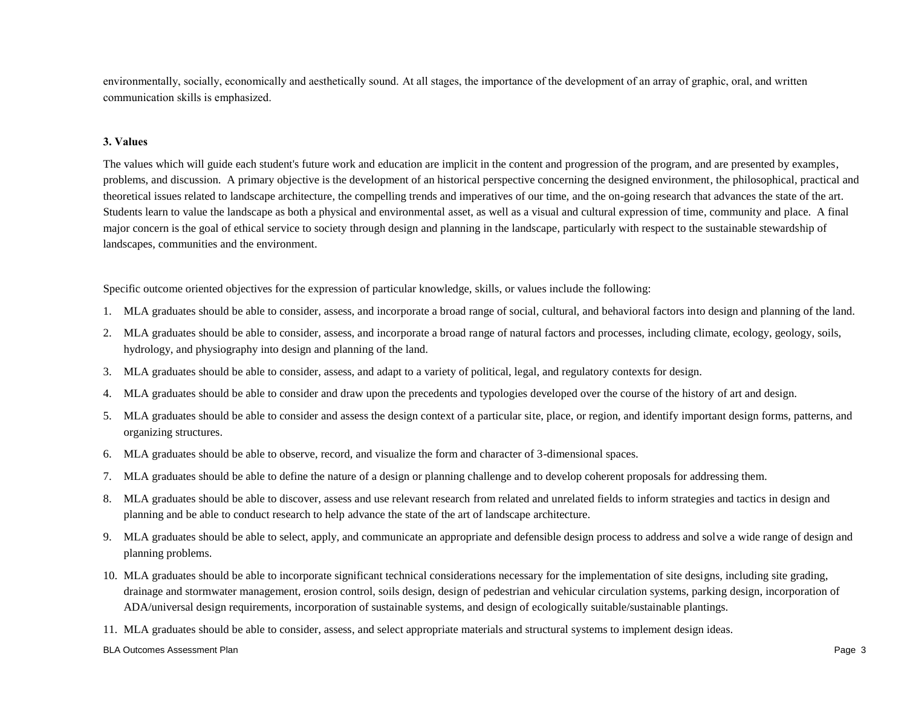environmentally, socially, economically and aesthetically sound. At all stages, the importance of the development of an array of graphic, oral, and written communication skills is emphasized.

#### **3. Values**

The values which will guide each student's future work and education are implicit in the content and progression of the program, and are presented by examples, problems, and discussion. A primary objective is the development of an historical perspective concerning the designed environment, the philosophical, practical and theoretical issues related to landscape architecture, the compelling trends and imperatives of our time, and the on-going research that advances the state of the art. Students learn to value the landscape as both a physical and environmental asset, as well as a visual and cultural expression of time, community and place. A final major concern is the goal of ethical service to society through design and planning in the landscape, particularly with respect to the sustainable stewardship of landscapes, communities and the environment.

Specific outcome oriented objectives for the expression of particular knowledge, skills, or values include the following:

- 1. MLA graduates should be able to consider, assess, and incorporate a broad range of social, cultural, and behavioral factors into design and planning of the land.
- 2. MLA graduates should be able to consider, assess, and incorporate a broad range of natural factors and processes, including climate, ecology, geology, soils, hydrology, and physiography into design and planning of the land.
- 3. MLA graduates should be able to consider, assess, and adapt to a variety of political, legal, and regulatory contexts for design.
- 4. MLA graduates should be able to consider and draw upon the precedents and typologies developed over the course of the history of art and design.
- 5. MLA graduates should be able to consider and assess the design context of a particular site, place, or region, and identify important design forms, patterns, and organizing structures.
- 6. MLA graduates should be able to observe, record, and visualize the form and character of 3-dimensional spaces.
- 7. MLA graduates should be able to define the nature of a design or planning challenge and to develop coherent proposals for addressing them.
- 8. MLA graduates should be able to discover, assess and use relevant research from related and unrelated fields to inform strategies and tactics in design and planning and be able to conduct research to help advance the state of the art of landscape architecture.
- 9. MLA graduates should be able to select, apply, and communicate an appropriate and defensible design process to address and solve a wide range of design and planning problems.
- 10. MLA graduates should be able to incorporate significant technical considerations necessary for the implementation of site designs, including site grading, drainage and stormwater management, erosion control, soils design, design of pedestrian and vehicular circulation systems, parking design, incorporation of ADA/universal design requirements, incorporation of sustainable systems, and design of ecologically suitable/sustainable plantings.

11. MLA graduates should be able to consider, assess, and select appropriate materials and structural systems to implement design ideas.

#### BLA Outcomes Assessment Plan Page 3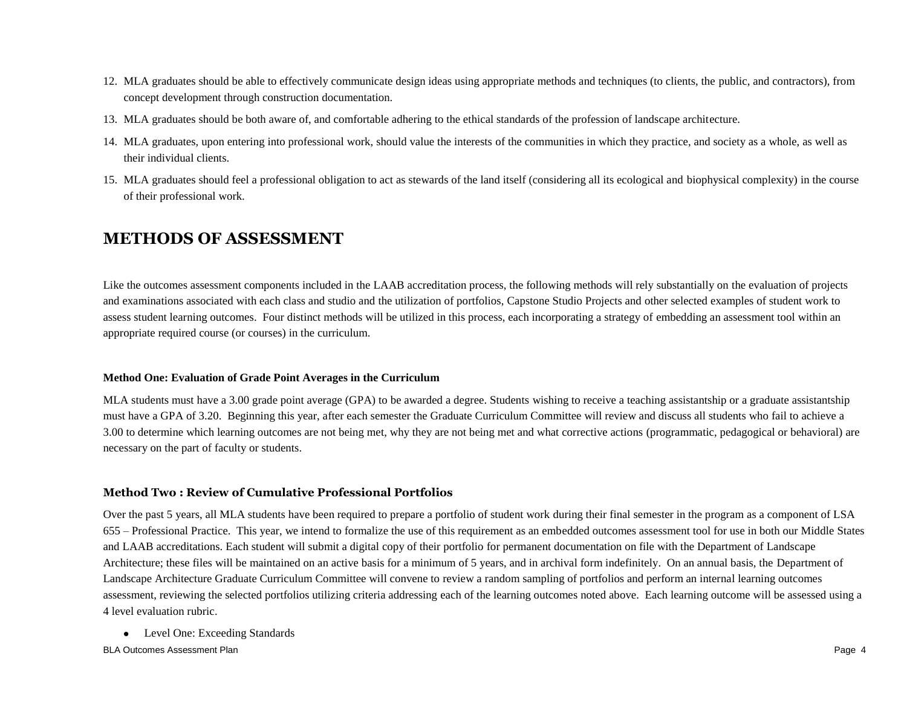- 12. MLA graduates should be able to effectively communicate design ideas using appropriate methods and techniques (to clients, the public, and contractors), from concept development through construction documentation.
- 13. MLA graduates should be both aware of, and comfortable adhering to the ethical standards of the profession of landscape architecture.
- 14. MLA graduates, upon entering into professional work, should value the interests of the communities in which they practice, and society as a whole, as well as their individual clients.
- 15. MLA graduates should feel a professional obligation to act as stewards of the land itself (considering all its ecological and biophysical complexity) in the course of their professional work.

## **METHODS OF ASSESSMENT**

Like the outcomes assessment components included in the LAAB accreditation process, the following methods will rely substantially on the evaluation of projects and examinations associated with each class and studio and the utilization of portfolios, Capstone Studio Projects and other selected examples of student work to assess student learning outcomes. Four distinct methods will be utilized in this process, each incorporating a strategy of embedding an assessment tool within an appropriate required course (or courses) in the curriculum.

## **Method One: Evaluation of Grade Point Averages in the Curriculum**

MLA students must have a 3.00 grade point average (GPA) to be awarded a degree. Students wishing to receive a teaching assistantship or a graduate assistantship must have a GPA of 3.20. Beginning this year, after each semester the Graduate Curriculum Committee will review and discuss all students who fail to achieve a 3.00 to determine which learning outcomes are not being met, why they are not being met and what corrective actions (programmatic, pedagogical or behavioral) are necessary on the part of faculty or students.

## **Method Two : Review of Cumulative Professional Portfolios**

Over the past 5 years, all MLA students have been required to prepare a portfolio of student work during their final semester in the program as a component of LSA 655 – Professional Practice. This year, we intend to formalize the use of this requirement as an embedded outcomes assessment tool for use in both our Middle States and LAAB accreditations. Each student will submit a digital copy of their portfolio for permanent documentation on file with the Department of Landscape Architecture; these files will be maintained on an active basis for a minimum of 5 years, and in archival form indefinitely. On an annual basis, the Department of Landscape Architecture Graduate Curriculum Committee will convene to review a random sampling of portfolios and perform an internal learning outcomes assessment, reviewing the selected portfolios utilizing criteria addressing each of the learning outcomes noted above. Each learning outcome will be assessed using a 4 level evaluation rubric.

- Level One: Exceeding Standards
- BLA Outcomes Assessment Plan Page 4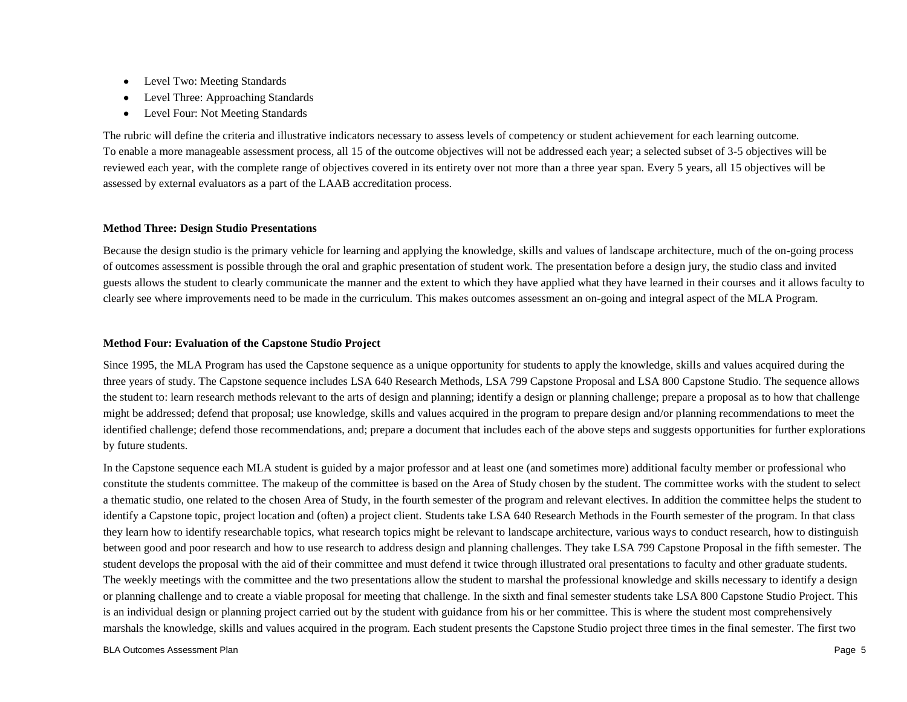- Level Two: Meeting Standards
- Level Three: Approaching Standards
- Level Four: Not Meeting Standards

The rubric will define the criteria and illustrative indicators necessary to assess levels of competency or student achievement for each learning outcome. To enable a more manageable assessment process, all 15 of the outcome objectives will not be addressed each year; a selected subset of 3-5 objectives will be reviewed each year, with the complete range of objectives covered in its entirety over not more than a three year span. Every 5 years, all 15 objectives will be assessed by external evaluators as a part of the LAAB accreditation process.

### **Method Three: Design Studio Presentations**

Because the design studio is the primary vehicle for learning and applying the knowledge, skills and values of landscape architecture, much of the on-going process of outcomes assessment is possible through the oral and graphic presentation of student work. The presentation before a design jury, the studio class and invited guests allows the student to clearly communicate the manner and the extent to which they have applied what they have learned in their courses and it allows faculty to clearly see where improvements need to be made in the curriculum. This makes outcomes assessment an on-going and integral aspect of the MLA Program.

### **Method Four: Evaluation of the Capstone Studio Project**

Since 1995, the MLA Program has used the Capstone sequence as a unique opportunity for students to apply the knowledge, skills and values acquired during the three years of study. The Capstone sequence includes LSA 640 Research Methods, LSA 799 Capstone Proposal and LSA 800 Capstone Studio. The sequence allows the student to: learn research methods relevant to the arts of design and planning; identify a design or planning challenge; prepare a proposal as to how that challenge might be addressed; defend that proposal; use knowledge, skills and values acquired in the program to prepare design and/or planning recommendations to meet the identified challenge; defend those recommendations, and; prepare a document that includes each of the above steps and suggests opportunities for further explorations by future students.

In the Capstone sequence each MLA student is guided by a major professor and at least one (and sometimes more) additional faculty member or professional who constitute the students committee. The makeup of the committee is based on the Area of Study chosen by the student. The committee works with the student to select a thematic studio, one related to the chosen Area of Study, in the fourth semester of the program and relevant electives. In addition the committee helps the student to identify a Capstone topic, project location and (often) a project client. Students take LSA 640 Research Methods in the Fourth semester of the program. In that class they learn how to identify researchable topics, what research topics might be relevant to landscape architecture, various ways to conduct research, how to distinguish between good and poor research and how to use research to address design and planning challenges. They take LSA 799 Capstone Proposal in the fifth semester. The student develops the proposal with the aid of their committee and must defend it twice through illustrated oral presentations to faculty and other graduate students. The weekly meetings with the committee and the two presentations allow the student to marshal the professional knowledge and skills necessary to identify a design or planning challenge and to create a viable proposal for meeting that challenge. In the sixth and final semester students take LSA 800 Capstone Studio Project. This is an individual design or planning project carried out by the student with guidance from his or her committee. This is where the student most comprehensively marshals the knowledge, skills and values acquired in the program. Each student presents the Capstone Studio project three times in the final semester. The first two

#### BLA Outcomes Assessment Plan Page 5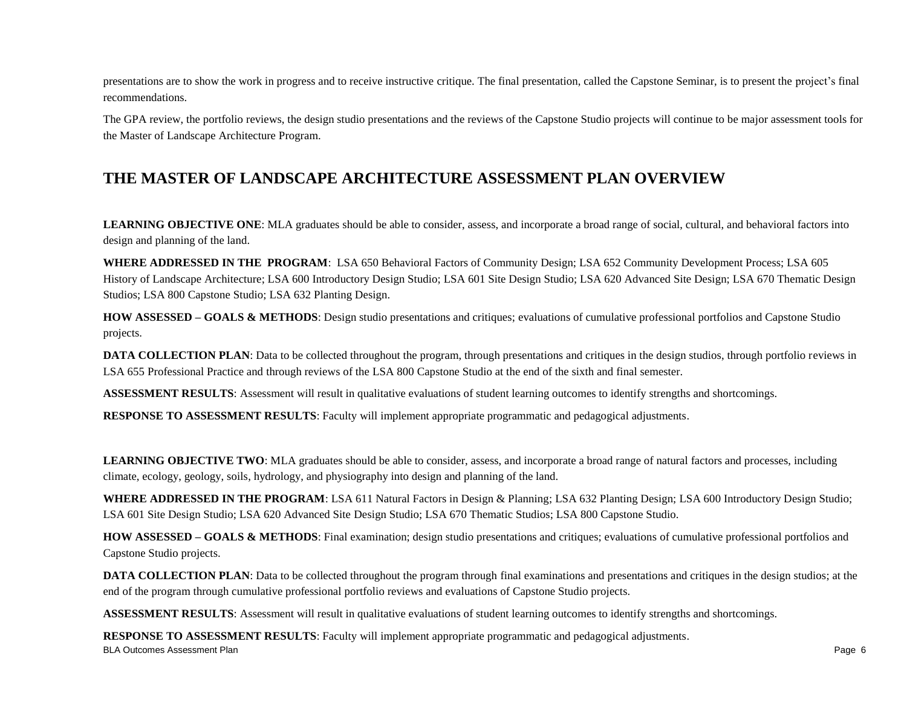presentations are to show the work in progress and to receive instructive critique. The final presentation, called the Capstone Seminar, is to present the project's final recommendations.

The GPA review, the portfolio reviews, the design studio presentations and the reviews of the Capstone Studio projects will continue to be major assessment tools for the Master of Landscape Architecture Program.

## **THE MASTER OF LANDSCAPE ARCHITECTURE ASSESSMENT PLAN OVERVIEW**

**LEARNING OBJECTIVE ONE**: MLA graduates should be able to consider, assess, and incorporate a broad range of social, cultural, and behavioral factors into design and planning of the land.

**WHERE ADDRESSED IN THE PROGRAM**: LSA 650 Behavioral Factors of Community Design; LSA 652 Community Development Process; LSA 605 History of Landscape Architecture; LSA 600 Introductory Design Studio; LSA 601 Site Design Studio; LSA 620 Advanced Site Design; LSA 670 Thematic Design Studios; LSA 800 Capstone Studio; LSA 632 Planting Design.

**HOW ASSESSED – GOALS & METHODS**: Design studio presentations and critiques; evaluations of cumulative professional portfolios and Capstone Studio projects.

**DATA COLLECTION PLAN**: Data to be collected throughout the program, through presentations and critiques in the design studios, through portfolio reviews in LSA 655 Professional Practice and through reviews of the LSA 800 Capstone Studio at the end of the sixth and final semester.

**ASSESSMENT RESULTS**: Assessment will result in qualitative evaluations of student learning outcomes to identify strengths and shortcomings.

**RESPONSE TO ASSESSMENT RESULTS**: Faculty will implement appropriate programmatic and pedagogical adjustments.

**LEARNING OBJECTIVE TWO**: MLA graduates should be able to consider, assess, and incorporate a broad range of natural factors and processes, including climate, ecology, geology, soils, hydrology, and physiography into design and planning of the land.

**WHERE ADDRESSED IN THE PROGRAM**: LSA 611 Natural Factors in Design & Planning; LSA 632 Planting Design; LSA 600 Introductory Design Studio; LSA 601 Site Design Studio; LSA 620 Advanced Site Design Studio; LSA 670 Thematic Studios; LSA 800 Capstone Studio.

**HOW ASSESSED – GOALS & METHODS**: Final examination; design studio presentations and critiques; evaluations of cumulative professional portfolios and Capstone Studio projects.

**DATA COLLECTION PLAN**: Data to be collected throughout the program through final examinations and presentations and critiques in the design studios; at the end of the program through cumulative professional portfolio reviews and evaluations of Capstone Studio projects.

**ASSESSMENT RESULTS**: Assessment will result in qualitative evaluations of student learning outcomes to identify strengths and shortcomings.

BLA Outcomes Assessment Plan Page 6 **RESPONSE TO ASSESSMENT RESULTS**: Faculty will implement appropriate programmatic and pedagogical adjustments.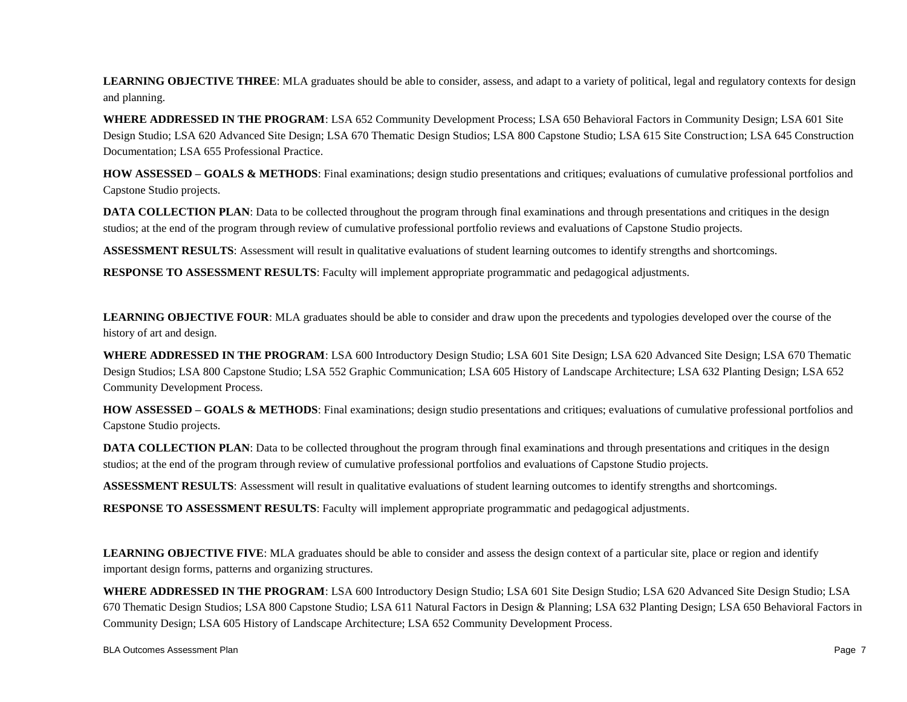LEARNING OBJECTIVE THREE: MLA graduates should be able to consider, assess, and adapt to a variety of political, legal and regulatory contexts for design and planning.

**WHERE ADDRESSED IN THE PROGRAM**: LSA 652 Community Development Process; LSA 650 Behavioral Factors in Community Design; LSA 601 Site Design Studio; LSA 620 Advanced Site Design; LSA 670 Thematic Design Studios; LSA 800 Capstone Studio; LSA 615 Site Construction; LSA 645 Construction Documentation; LSA 655 Professional Practice.

**HOW ASSESSED – GOALS & METHODS**: Final examinations; design studio presentations and critiques; evaluations of cumulative professional portfolios and Capstone Studio projects.

**DATA COLLECTION PLAN**: Data to be collected throughout the program through final examinations and through presentations and critiques in the design studios; at the end of the program through review of cumulative professional portfolio reviews and evaluations of Capstone Studio projects.

**ASSESSMENT RESULTS**: Assessment will result in qualitative evaluations of student learning outcomes to identify strengths and shortcomings.

**RESPONSE TO ASSESSMENT RESULTS**: Faculty will implement appropriate programmatic and pedagogical adjustments.

**LEARNING OBJECTIVE FOUR**: MLA graduates should be able to consider and draw upon the precedents and typologies developed over the course of the history of art and design.

**WHERE ADDRESSED IN THE PROGRAM**: LSA 600 Introductory Design Studio; LSA 601 Site Design; LSA 620 Advanced Site Design; LSA 670 Thematic Design Studios; LSA 800 Capstone Studio; LSA 552 Graphic Communication; LSA 605 History of Landscape Architecture; LSA 632 Planting Design; LSA 652 Community Development Process.

**HOW ASSESSED – GOALS & METHODS**: Final examinations; design studio presentations and critiques; evaluations of cumulative professional portfolios and Capstone Studio projects.

**DATA COLLECTION PLAN**: Data to be collected throughout the program through final examinations and through presentations and critiques in the design studios; at the end of the program through review of cumulative professional portfolios and evaluations of Capstone Studio projects.

**ASSESSMENT RESULTS:** Assessment will result in qualitative evaluations of student learning outcomes to identify strengths and shortcomings.

**RESPONSE TO ASSESSMENT RESULTS**: Faculty will implement appropriate programmatic and pedagogical adjustments.

**LEARNING OBJECTIVE FIVE**: MLA graduates should be able to consider and assess the design context of a particular site, place or region and identify important design forms, patterns and organizing structures.

**WHERE ADDRESSED IN THE PROGRAM**: LSA 600 Introductory Design Studio; LSA 601 Site Design Studio; LSA 620 Advanced Site Design Studio; LSA 670 Thematic Design Studios; LSA 800 Capstone Studio; LSA 611 Natural Factors in Design & Planning; LSA 632 Planting Design; LSA 650 Behavioral Factors in Community Design; LSA 605 History of Landscape Architecture; LSA 652 Community Development Process.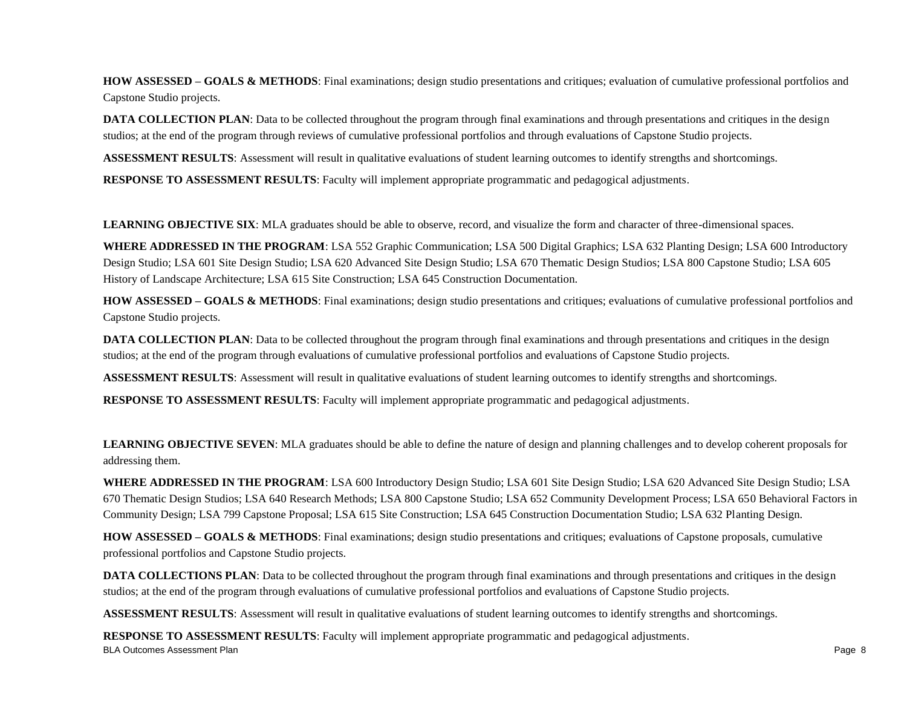**HOW ASSESSED – GOALS & METHODS**: Final examinations; design studio presentations and critiques; evaluation of cumulative professional portfolios and Capstone Studio projects.

**DATA COLLECTION PLAN:** Data to be collected throughout the program through final examinations and through presentations and critiques in the design studios; at the end of the program through reviews of cumulative professional portfolios and through evaluations of Capstone Studio projects.

**ASSESSMENT RESULTS**: Assessment will result in qualitative evaluations of student learning outcomes to identify strengths and shortcomings.

**RESPONSE TO ASSESSMENT RESULTS**: Faculty will implement appropriate programmatic and pedagogical adjustments.

**LEARNING OBJECTIVE SIX**: MLA graduates should be able to observe, record, and visualize the form and character of three-dimensional spaces.

**WHERE ADDRESSED IN THE PROGRAM**: LSA 552 Graphic Communication; LSA 500 Digital Graphics; LSA 632 Planting Design; LSA 600 Introductory Design Studio; LSA 601 Site Design Studio; LSA 620 Advanced Site Design Studio; LSA 670 Thematic Design Studios; LSA 800 Capstone Studio; LSA 605 History of Landscape Architecture; LSA 615 Site Construction; LSA 645 Construction Documentation.

**HOW ASSESSED – GOALS & METHODS**: Final examinations; design studio presentations and critiques; evaluations of cumulative professional portfolios and Capstone Studio projects.

**DATA COLLECTION PLAN**: Data to be collected throughout the program through final examinations and through presentations and critiques in the design studios; at the end of the program through evaluations of cumulative professional portfolios and evaluations of Capstone Studio projects.

**ASSESSMENT RESULTS**: Assessment will result in qualitative evaluations of student learning outcomes to identify strengths and shortcomings.

**RESPONSE TO ASSESSMENT RESULTS**: Faculty will implement appropriate programmatic and pedagogical adjustments.

**LEARNING OBJECTIVE SEVEN**: MLA graduates should be able to define the nature of design and planning challenges and to develop coherent proposals for addressing them.

**WHERE ADDRESSED IN THE PROGRAM**: LSA 600 Introductory Design Studio; LSA 601 Site Design Studio; LSA 620 Advanced Site Design Studio; LSA 670 Thematic Design Studios; LSA 640 Research Methods; LSA 800 Capstone Studio; LSA 652 Community Development Process; LSA 650 Behavioral Factors in Community Design; LSA 799 Capstone Proposal; LSA 615 Site Construction; LSA 645 Construction Documentation Studio; LSA 632 Planting Design.

**HOW ASSESSED – GOALS & METHODS**: Final examinations; design studio presentations and critiques; evaluations of Capstone proposals, cumulative professional portfolios and Capstone Studio projects.

**DATA COLLECTIONS PLAN**: Data to be collected throughout the program through final examinations and through presentations and critiques in the design studios; at the end of the program through evaluations of cumulative professional portfolios and evaluations of Capstone Studio projects.

**ASSESSMENT RESULTS**: Assessment will result in qualitative evaluations of student learning outcomes to identify strengths and shortcomings.

BLA Outcomes Assessment Plan Page 8 **RESPONSE TO ASSESSMENT RESULTS**: Faculty will implement appropriate programmatic and pedagogical adjustments.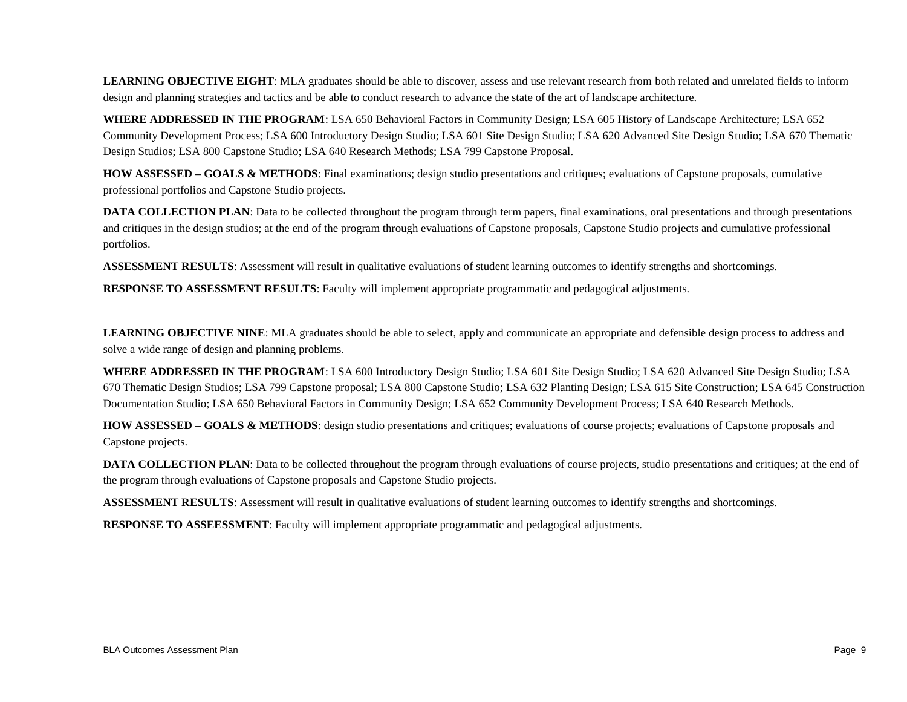**LEARNING OBJECTIVE EIGHT**: MLA graduates should be able to discover, assess and use relevant research from both related and unrelated fields to inform design and planning strategies and tactics and be able to conduct research to advance the state of the art of landscape architecture.

**WHERE ADDRESSED IN THE PROGRAM**: LSA 650 Behavioral Factors in Community Design; LSA 605 History of Landscape Architecture; LSA 652 Community Development Process; LSA 600 Introductory Design Studio; LSA 601 Site Design Studio; LSA 620 Advanced Site Design Studio; LSA 670 Thematic Design Studios; LSA 800 Capstone Studio; LSA 640 Research Methods; LSA 799 Capstone Proposal.

**HOW ASSESSED – GOALS & METHODS**: Final examinations; design studio presentations and critiques; evaluations of Capstone proposals, cumulative professional portfolios and Capstone Studio projects.

**DATA COLLECTION PLAN**: Data to be collected throughout the program through term papers, final examinations, oral presentations and through presentations and critiques in the design studios; at the end of the program through evaluations of Capstone proposals, Capstone Studio projects and cumulative professional portfolios.

**ASSESSMENT RESULTS**: Assessment will result in qualitative evaluations of student learning outcomes to identify strengths and shortcomings.

**RESPONSE TO ASSESSMENT RESULTS**: Faculty will implement appropriate programmatic and pedagogical adjustments.

LEARNING OBJECTIVE NINE: MLA graduates should be able to select, apply and communicate an appropriate and defensible design process to address and solve a wide range of design and planning problems.

**WHERE ADDRESSED IN THE PROGRAM**: LSA 600 Introductory Design Studio; LSA 601 Site Design Studio; LSA 620 Advanced Site Design Studio; LSA 670 Thematic Design Studios; LSA 799 Capstone proposal; LSA 800 Capstone Studio; LSA 632 Planting Design; LSA 615 Site Construction; LSA 645 Construction Documentation Studio; LSA 650 Behavioral Factors in Community Design; LSA 652 Community Development Process; LSA 640 Research Methods.

**HOW ASSESSED – GOALS & METHODS**: design studio presentations and critiques; evaluations of course projects; evaluations of Capstone proposals and Capstone projects.

**DATA COLLECTION PLAN**: Data to be collected throughout the program through evaluations of course projects, studio presentations and critiques; at the end of the program through evaluations of Capstone proposals and Capstone Studio projects.

**ASSESSMENT RESULTS**: Assessment will result in qualitative evaluations of student learning outcomes to identify strengths and shortcomings.

**RESPONSE TO ASSEESSMENT**: Faculty will implement appropriate programmatic and pedagogical adjustments.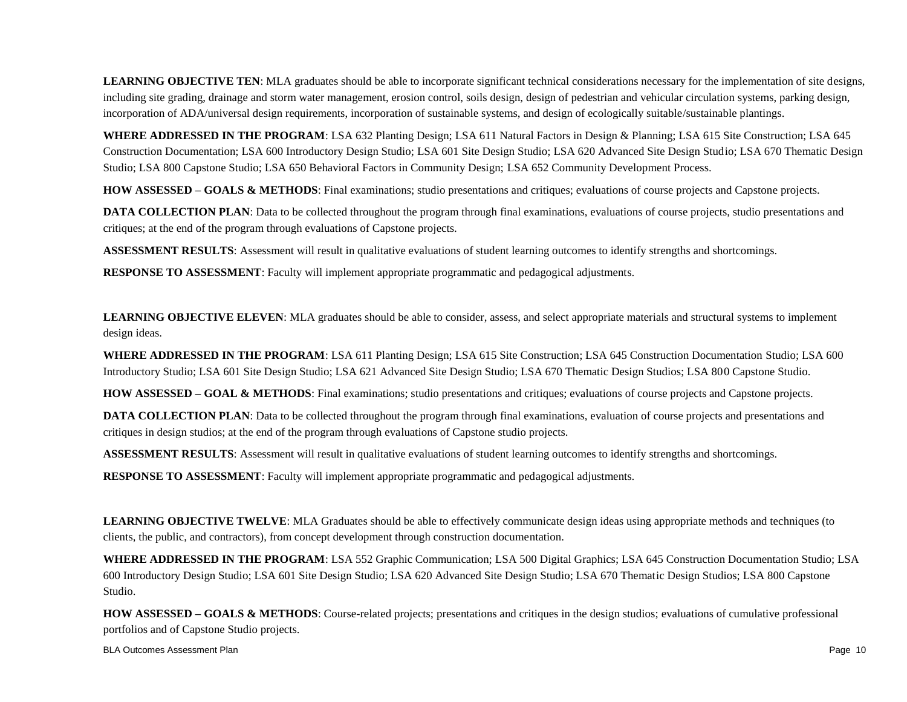**LEARNING OBJECTIVE TEN**: MLA graduates should be able to incorporate significant technical considerations necessary for the implementation of site designs, including site grading, drainage and storm water management, erosion control, soils design, design of pedestrian and vehicular circulation systems, parking design, incorporation of ADA/universal design requirements, incorporation of sustainable systems, and design of ecologically suitable/sustainable plantings.

**WHERE ADDRESSED IN THE PROGRAM**: LSA 632 Planting Design; LSA 611 Natural Factors in Design & Planning; LSA 615 Site Construction; LSA 645 Construction Documentation; LSA 600 Introductory Design Studio; LSA 601 Site Design Studio; LSA 620 Advanced Site Design Studio; LSA 670 Thematic Design Studio; LSA 800 Capstone Studio; LSA 650 Behavioral Factors in Community Design; LSA 652 Community Development Process.

**HOW ASSESSED – GOALS & METHODS**: Final examinations; studio presentations and critiques; evaluations of course projects and Capstone projects.

**DATA COLLECTION PLAN**: Data to be collected throughout the program through final examinations, evaluations of course projects, studio presentations and critiques; at the end of the program through evaluations of Capstone projects.

**ASSESSMENT RESULTS**: Assessment will result in qualitative evaluations of student learning outcomes to identify strengths and shortcomings.

**RESPONSE TO ASSESSMENT**: Faculty will implement appropriate programmatic and pedagogical adjustments.

**LEARNING OBJECTIVE ELEVEN**: MLA graduates should be able to consider, assess, and select appropriate materials and structural systems to implement design ideas.

**WHERE ADDRESSED IN THE PROGRAM**: LSA 611 Planting Design; LSA 615 Site Construction; LSA 645 Construction Documentation Studio; LSA 600 Introductory Studio; LSA 601 Site Design Studio; LSA 621 Advanced Site Design Studio; LSA 670 Thematic Design Studios; LSA 800 Capstone Studio.

**HOW ASSESSED – GOAL & METHODS**: Final examinations; studio presentations and critiques; evaluations of course projects and Capstone projects.

**DATA COLLECTION PLAN:** Data to be collected throughout the program through final examinations, evaluation of course projects and presentations and critiques in design studios; at the end of the program through evaluations of Capstone studio projects.

**ASSESSMENT RESULTS**: Assessment will result in qualitative evaluations of student learning outcomes to identify strengths and shortcomings.

**RESPONSE TO ASSESSMENT**: Faculty will implement appropriate programmatic and pedagogical adjustments.

**LEARNING OBJECTIVE TWELVE**: MLA Graduates should be able to effectively communicate design ideas using appropriate methods and techniques (to clients, the public, and contractors), from concept development through construction documentation.

**WHERE ADDRESSED IN THE PROGRAM**: LSA 552 Graphic Communication; LSA 500 Digital Graphics; LSA 645 Construction Documentation Studio; LSA 600 Introductory Design Studio; LSA 601 Site Design Studio; LSA 620 Advanced Site Design Studio; LSA 670 Thematic Design Studios; LSA 800 Capstone Studio.

**HOW ASSESSED – GOALS & METHODS**: Course-related projects; presentations and critiques in the design studios; evaluations of cumulative professional portfolios and of Capstone Studio projects.

BLA Outcomes Assessment Plan Page 10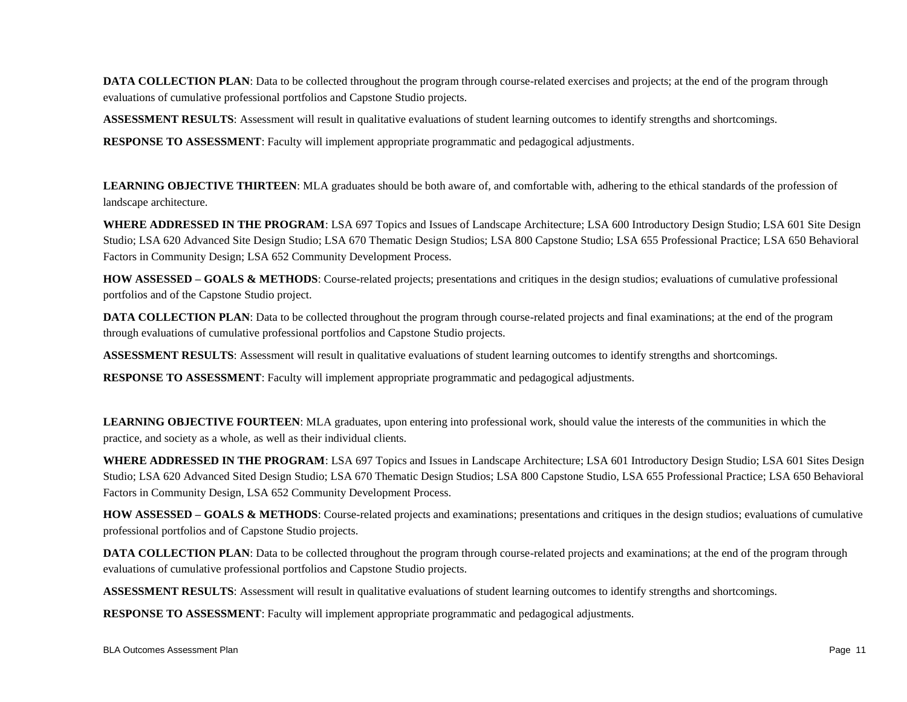**DATA COLLECTION PLAN**: Data to be collected throughout the program through course-related exercises and projects; at the end of the program through evaluations of cumulative professional portfolios and Capstone Studio projects.

**ASSESSMENT RESULTS**: Assessment will result in qualitative evaluations of student learning outcomes to identify strengths and shortcomings.

**RESPONSE TO ASSESSMENT**: Faculty will implement appropriate programmatic and pedagogical adjustments.

**LEARNING OBJECTIVE THIRTEEN**: MLA graduates should be both aware of, and comfortable with, adhering to the ethical standards of the profession of landscape architecture.

**WHERE ADDRESSED IN THE PROGRAM**: LSA 697 Topics and Issues of Landscape Architecture; LSA 600 Introductory Design Studio; LSA 601 Site Design Studio; LSA 620 Advanced Site Design Studio; LSA 670 Thematic Design Studios; LSA 800 Capstone Studio; LSA 655 Professional Practice; LSA 650 Behavioral Factors in Community Design; LSA 652 Community Development Process.

**HOW ASSESSED – GOALS & METHODS**: Course-related projects; presentations and critiques in the design studios; evaluations of cumulative professional portfolios and of the Capstone Studio project.

**DATA COLLECTION PLAN**: Data to be collected throughout the program through course-related projects and final examinations; at the end of the program through evaluations of cumulative professional portfolios and Capstone Studio projects.

**ASSESSMENT RESULTS**: Assessment will result in qualitative evaluations of student learning outcomes to identify strengths and shortcomings.

**RESPONSE TO ASSESSMENT**: Faculty will implement appropriate programmatic and pedagogical adjustments.

LEARNING OBJECTIVE FOURTEEN: MLA graduates, upon entering into professional work, should value the interests of the communities in which the practice, and society as a whole, as well as their individual clients.

**WHERE ADDRESSED IN THE PROGRAM**: LSA 697 Topics and Issues in Landscape Architecture; LSA 601 Introductory Design Studio; LSA 601 Sites Design Studio; LSA 620 Advanced Sited Design Studio; LSA 670 Thematic Design Studios; LSA 800 Capstone Studio, LSA 655 Professional Practice; LSA 650 Behavioral Factors in Community Design, LSA 652 Community Development Process.

**HOW ASSESSED – GOALS & METHODS**: Course-related projects and examinations; presentations and critiques in the design studios; evaluations of cumulative professional portfolios and of Capstone Studio projects.

**DATA COLLECTION PLAN**: Data to be collected throughout the program through course-related projects and examinations; at the end of the program through evaluations of cumulative professional portfolios and Capstone Studio projects.

**ASSESSMENT RESULTS**: Assessment will result in qualitative evaluations of student learning outcomes to identify strengths and shortcomings.

**RESPONSE TO ASSESSMENT**: Faculty will implement appropriate programmatic and pedagogical adjustments.